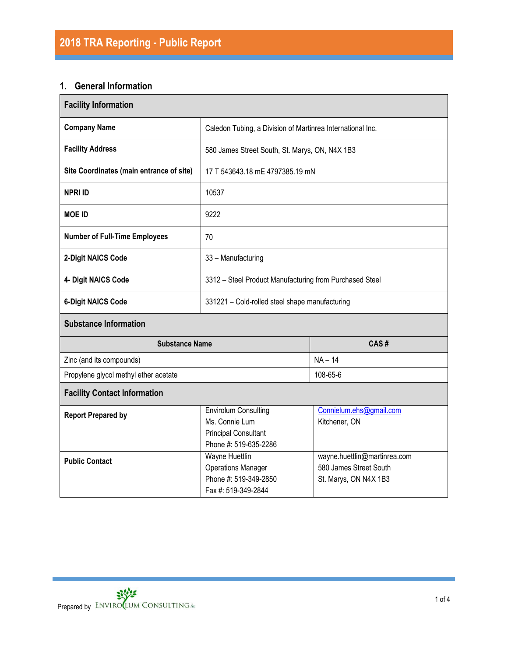## **1. General Information**

| <b>Facility Information</b>                                                                                                        |                                                            |                                                                                 |  |  |  |
|------------------------------------------------------------------------------------------------------------------------------------|------------------------------------------------------------|---------------------------------------------------------------------------------|--|--|--|
| <b>Company Name</b>                                                                                                                | Caledon Tubing, a Division of Martinrea International Inc. |                                                                                 |  |  |  |
| <b>Facility Address</b>                                                                                                            | 580 James Street South, St. Marys, ON, N4X 1B3             |                                                                                 |  |  |  |
| Site Coordinates (main entrance of site)                                                                                           | 17 T 543643.18 mE 4797385.19 mN                            |                                                                                 |  |  |  |
| <b>NPRI ID</b>                                                                                                                     | 10537                                                      |                                                                                 |  |  |  |
| <b>MOE ID</b>                                                                                                                      | 9222                                                       |                                                                                 |  |  |  |
| <b>Number of Full-Time Employees</b>                                                                                               | 70                                                         |                                                                                 |  |  |  |
| 2-Digit NAICS Code                                                                                                                 | 33 - Manufacturing                                         |                                                                                 |  |  |  |
| 4- Digit NAICS Code                                                                                                                | 3312 - Steel Product Manufacturing from Purchased Steel    |                                                                                 |  |  |  |
| <b>6-Digit NAICS Code</b>                                                                                                          | 331221 - Cold-rolled steel shape manufacturing             |                                                                                 |  |  |  |
| <b>Substance Information</b>                                                                                                       |                                                            |                                                                                 |  |  |  |
| <b>Substance Name</b>                                                                                                              |                                                            | CAS#                                                                            |  |  |  |
| Zinc (and its compounds)                                                                                                           |                                                            | $NA - 14$                                                                       |  |  |  |
| Propylene glycol methyl ether acetate                                                                                              |                                                            | 108-65-6                                                                        |  |  |  |
| <b>Facility Contact Information</b>                                                                                                |                                                            |                                                                                 |  |  |  |
| <b>Envirolum Consulting</b><br><b>Report Prepared by</b><br>Ms. Connie Lum<br><b>Principal Consultant</b><br>Phone #: 519-635-2286 |                                                            | Connielum.ehs@gmail.com<br>Kitchener, ON                                        |  |  |  |
| Wayne Huettlin<br><b>Public Contact</b><br><b>Operations Manager</b><br>Phone #: 519-349-2850<br>Fax #: 519-349-2844               |                                                            | wayne.huettlin@martinrea.com<br>580 James Street South<br>St. Marys, ON N4X 1B3 |  |  |  |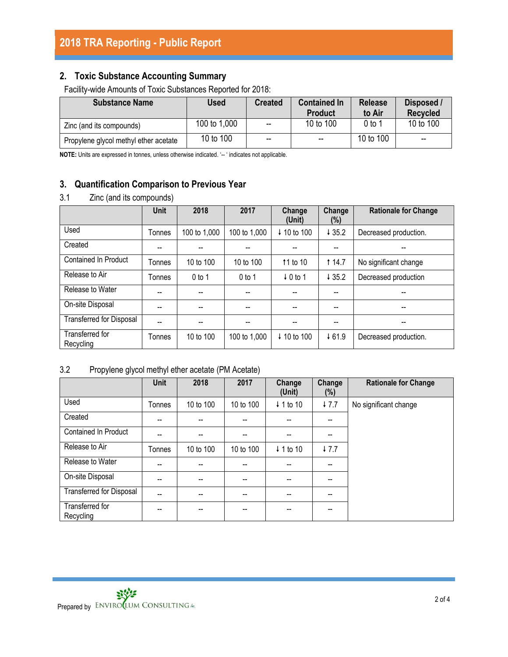# **2. Toxic Substance Accounting Summary**

Facility-wide Amounts of Toxic Substances Reported for 2018:

| <b>Substance Name</b>                 | <b>Used</b>  | <b>Created</b>           | <b>Contained In</b><br><b>Product</b> | <b>Release</b><br>to Air | Disposed /<br><b>Recycled</b> |
|---------------------------------------|--------------|--------------------------|---------------------------------------|--------------------------|-------------------------------|
| Zinc (and its compounds)              | 100 to 1,000 | $\overline{\phantom{a}}$ | 10 to 100                             | 0 to 1                   | 10 to 100                     |
| Propylene glycol methyl ether acetate | 10 to 100    | $\overline{\phantom{a}}$ | $\overline{\phantom{a}}$              | 10 to 100                | $\overline{\phantom{a}}$      |

**NOTE:** Units are expressed in tonnes, unless otherwise indicated. '-- ' indicates not applicable.

# **3. Quantification Comparison to Previous Year**

### 3.1 Zinc (and its compounds)

|                                 | <b>Unit</b> | 2018         | 2017         | Change<br>(Unit)       | Change<br>(%) | <b>Rationale for Change</b> |
|---------------------------------|-------------|--------------|--------------|------------------------|---------------|-----------------------------|
| Used                            | Tonnes      | 100 to 1,000 | 100 to 1,000 | ↓ 10 to 100            | 435.2         | Decreased production.       |
| Created                         | --          |              |              |                        | --            |                             |
| <b>Contained In Product</b>     | Tonnes      | 10 to 100    | 10 to 100    | 11 to 10               | t 14.7        | No significant change       |
| Release to Air                  | Tonnes      | $0$ to 1     | $0$ to 1     | $\downarrow$ 0 to 1    | 435.2         | Decreased production        |
| Release to Water                | --          |              |              | --                     | $-$           | --                          |
| On-site Disposal                | --          |              |              | $-$                    | --            | --                          |
| <b>Transferred for Disposal</b> | --          |              |              |                        | --            | --                          |
| Transferred for<br>Recycling    | Tonnes      | 10 to 100    | 100 to 1,000 | $\downarrow$ 10 to 100 | $+61.9$       | Decreased production.       |

## 3.2 Propylene glycol methyl ether acetate (PM Acetate)

|                                 | <b>Unit</b> | 2018      | 2017      | Change<br>(Unit)     | Change<br>(%) | <b>Rationale for Change</b> |
|---------------------------------|-------------|-----------|-----------|----------------------|---------------|-----------------------------|
| Used                            | Tonnes      | 10 to 100 | 10 to 100 | $\downarrow$ 1 to 10 | $+7.7$        | No significant change       |
| Created                         | --          | $- -$     | --        | --                   | --            |                             |
| <b>Contained In Product</b>     | --          |           | --        |                      | --            |                             |
| Release to Air                  | Tonnes      | 10 to 100 | 10 to 100 | $\downarrow$ 1 to 10 | $+7.7$        |                             |
| Release to Water                | --          | $-$       | --        | $- -$                | --            |                             |
| On-site Disposal                | --          | $-$       | --        | $- -$                | --            |                             |
| <b>Transferred for Disposal</b> | --          |           | --        |                      | --            |                             |
| Transferred for<br>Recycling    | --          | $- -$     | --        | --                   | --            |                             |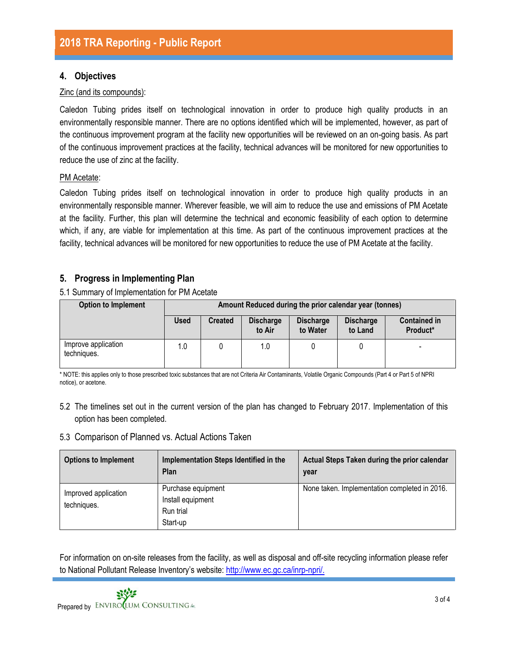## **4. Objectives**

#### Zinc (and its compounds):

Caledon Tubing prides itself on technological innovation in order to produce high quality products in an environmentally responsible manner. There are no options identified which will be implemented, however, as part of the continuous improvement program at the facility new opportunities will be reviewed on an on-going basis. As part of the continuous improvement practices at the facility, technical advances will be monitored for new opportunities to reduce the use of zinc at the facility.

#### PM Acetate:

Caledon Tubing prides itself on technological innovation in order to produce high quality products in an environmentally responsible manner. Wherever feasible, we will aim to reduce the use and emissions of PM Acetate at the facility. Further, this plan will determine the technical and economic feasibility of each option to determine which, if any, are viable for implementation at this time. As part of the continuous improvement practices at the facility, technical advances will be monitored for new opportunities to reduce the use of PM Acetate at the facility.

### **5. Progress in Implementing Plan**

5.1 Summary of Implementation for PM Acetate

| <b>Option to Implement</b>         | Amount Reduced during the prior calendar year (tonnes) |                |                            |                              |                             |                                 |
|------------------------------------|--------------------------------------------------------|----------------|----------------------------|------------------------------|-----------------------------|---------------------------------|
|                                    | <b>Used</b>                                            | <b>Created</b> | <b>Discharge</b><br>to Air | <b>Discharge</b><br>to Water | <b>Discharge</b><br>to Land | <b>Contained in</b><br>Product* |
| Improve application<br>techniques. | 1.0                                                    |                | 1.0                        |                              |                             | $\overline{\phantom{0}}$        |

\* NOTE: this applies only to those prescribed toxic substances that are not Criteria Air Contaminants, Volatile Organic Compounds (Part 4 or Part 5 of NPRI notice), or acetone.

5.2 The timelines set out in the current version of the plan has changed to February 2017. Implementation of this option has been completed.

#### 5.3 Comparison of Planned vs. Actual Actions Taken

| <b>Options to Implement</b>         | Implementation Steps Identified in the<br>Plan                   | Actual Steps Taken during the prior calendar<br>year |
|-------------------------------------|------------------------------------------------------------------|------------------------------------------------------|
| Improved application<br>techniques. | Purchase equipment<br>Install equipment<br>Run trial<br>Start-up | None taken. Implementation completed in 2016.        |

For information on on-site releases from the facility, as well as disposal and off-site recycling information please refer to National Pollutant Release Inventory's website: [http://www.ec.gc.ca/inrp-npri/.](http://www.ec.gc.ca/inrp-npri/)